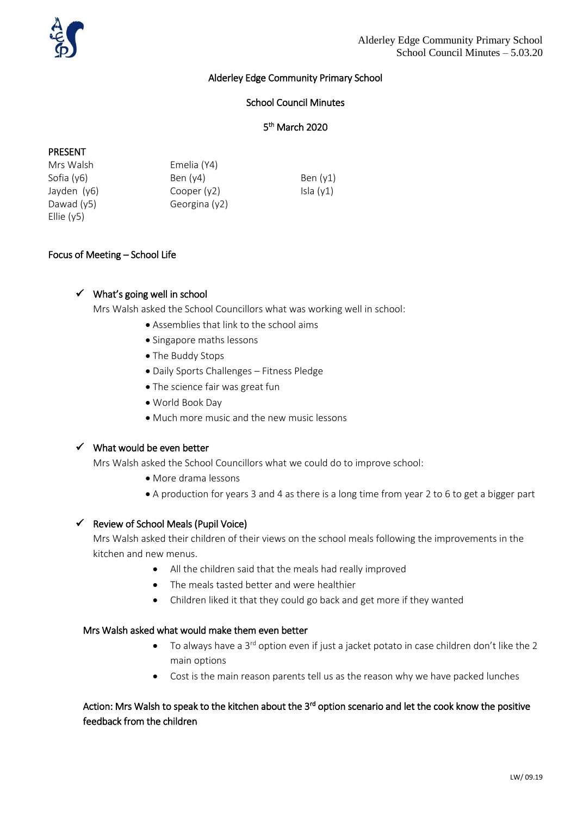

## Alderley Edge Community Primary School

### School Council Minutes

## 5 th March 2020

#### PRESENT

| Mrs Walsh    | Emelia (Y4)   |             |
|--------------|---------------|-------------|
| Sofia (y6)   | Ben $(y4)$    | Ben $(y1)$  |
| Jayden (y6)  | Cooper $(y2)$ | Isla $(y1)$ |
| Dawad $(y5)$ | Georgina (y2) |             |
| Ellie $(y5)$ |               |             |

### Focus of Meeting – School Life

#### $\checkmark$  What's going well in school

Mrs Walsh asked the School Councillors what was working well in school:

- Assemblies that link to the school aims
- Singapore maths lessons
- The Buddy Stops
- Daily Sports Challenges Fitness Pledge
- The science fair was great fun
- World Book Day
- Much more music and the new music lessons

#### $\checkmark$  What would be even better

Mrs Walsh asked the School Councillors what we could do to improve school:

- More drama lessons
- A production for years 3 and 4 as there is a long time from year 2 to 6 to get a bigger part

### $\checkmark$  Review of School Meals (Pupil Voice)

Mrs Walsh asked their children of their views on the school meals following the improvements in the kitchen and new menus.

- All the children said that the meals had really improved
- The meals tasted better and were healthier
- Children liked it that they could go back and get more if they wanted

#### Mrs Walsh asked what would make them even better

- To always have a 3<sup>rd</sup> option even if just a jacket potato in case children don't like the 2 main options
- Cost is the main reason parents tell us as the reason why we have packed lunches

# Action: Mrs Walsh to speak to the kitchen about the 3<sup>rd</sup> option scenario and let the cook know the positive feedback from the children